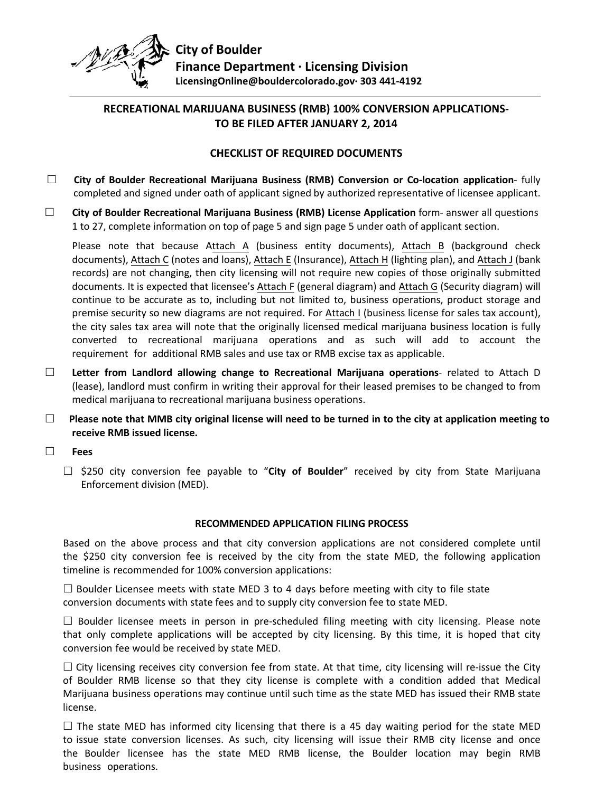

# **RECREATIONAL MARIJUANA BUSINESS (RMB) 100% CONVERSION APPLICATIONS-TO BE FILED AFTER JANUARY 2, 2014**

### **CHECKLIST OF REQUIRED DOCUMENTS**

- **City of Boulder Recreational Marijuana Business (RMB) Conversion or Co-location application** fully completed and signed under oath of applicant signed by authorized representative of licensee applicant.
- **City of Boulder Recreational Marijuana Business (RMB) License Application** form- answer all questions 1 to 27, complete information on top of page 5 and sign page 5 under oath of applicant section.

Please note that because Attach A (business entity documents), Attach B (background check documents), Attach C (notes and loans), Attach E (Insurance), Attach H (lighting plan), and Attach J (bank records) are not changing, then city licensing will not require new copies of those originally submitted documents. It is expected that licensee's Attach F (general diagram) and Attach G (Security diagram) will continue to be accurate as to, including but not limited to, business operations, product storage and premise security so new diagrams are not required. For Attach I (business license for sales tax account), the city sales tax area will note that the originally licensed medical marijuana business location is fully converted to recreational marijuana operations and as such will add to account the requirement for additional RMB sales and use tax or RMB excise tax as applicable.

- **Letter from Landlord allowing change to Recreational Marijuana operations** related to Attach D (lease), landlord must confirm in writing their approval for their leased premises to be changed to from medical marijuana to recreational marijuana business operations.
- **Please note that MMB city original license will need to be turned in to the city at application meeting to receive RMB issued license.**
- **Fees**
	- □ \$250 city conversion fee payable to "**City of Boulder**" received by city from State Marijuana Enforcement division (MED).

#### **RECOMMENDED APPLICATION FILING PROCESS**

Based on the above process and that city conversion applications are not considered complete until the \$250 city conversion fee is received by the city from the state MED, the following application timeline is recommended for 100% conversion applications:

 $\square$  Boulder Licensee meets with state MED 3 to 4 days before meeting with city to file state conversion documents with state fees and to supply city conversion fee to state MED.

 $\Box$  Boulder licensee meets in person in pre-scheduled filing meeting with city licensing. Please note that only complete applications will be accepted by city licensing. By this time, it is hoped that city conversion fee would be received by state MED.

 $\Box$  City licensing receives city conversion fee from state. At that time, city licensing will re-issue the City of Boulder RMB license so that they city license is complete with a condition added that Medical Marijuana business operations may continue until such time as the state MED has issued their RMB state license.

 $\Box$  The state MED has informed city licensing that there is a 45 day waiting period for the state MED to issue state conversion licenses. As such, city licensing will issue their RMB city license and once the Boulder licensee has the state MED RMB license, the Boulder location may begin RMB business operations.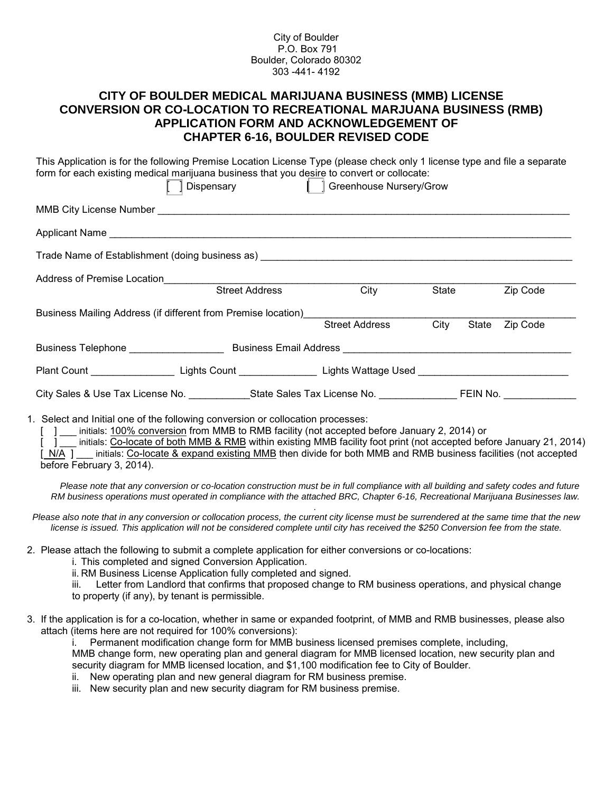City of Boulder P.O. Box 791 Boulder, Colorado 80302 303 -441- 4192

# **CITY OF BOULDER MEDICAL MARIJUANA BUSINESS (MMB) LICENSE CONVERSION OR CO-LOCATION TO RECREATIONAL MARJUANA BUSINESS (RMB) APPLICATION FORM AND ACKNOWLEDGEMENT OF CHAPTER 6-16, BOULDER REVISED CODE**

| This Application is for the following Premise Location License Type (please check only 1 license type and file a separate<br>form for each existing medical marijuana business that you desire to convert or collocate: | [ ] Dispensary [ ] Greenhouse Nursery/Grow |                       |      |       |          |
|-------------------------------------------------------------------------------------------------------------------------------------------------------------------------------------------------------------------------|--------------------------------------------|-----------------------|------|-------|----------|
|                                                                                                                                                                                                                         |                                            |                       |      |       |          |
|                                                                                                                                                                                                                         |                                            |                       |      |       |          |
|                                                                                                                                                                                                                         |                                            |                       |      |       |          |
| Address of Premise Location<br>Street Address                                                                                                                                                                           |                                            |                       |      |       |          |
|                                                                                                                                                                                                                         |                                            | City                  |      | State | Zip Code |
| Business Mailing Address (if different from Premise location) entitled and the matter of                                                                                                                                |                                            |                       |      |       |          |
|                                                                                                                                                                                                                         |                                            | <b>Street Address</b> | City | State | Zip Code |
| Business Telephone ___________________________________Business Email Address _________________________________                                                                                                          |                                            |                       |      |       |          |
| Plant Count ________________________Lights Count ____________________Lights Wattage Used _____________________                                                                                                          |                                            |                       |      |       |          |
|                                                                                                                                                                                                                         |                                            |                       |      |       |          |
| 1. Select and Initial one of the following conversion or collocation processes:                                                                                                                                         |                                            |                       |      |       |          |

initials: 100% conversion from MMB to RMB facility (not accepted before January 2, 2014) or

initials: Co-locate of both MMB & RMB within existing MMB facility foot print (not accepted before January 21, 2014) [N/A ] \_\_\_ initials: Co-locate & expand existing MMB then divide for both MMB and RMB business facilities (not accepted before February 3, 2014).

*Please note that any conversion or co-location construction must be in full compliance with all building and safety codes and future RM business operations must operated in compliance with the attached BRC, Chapter 6-16, Recreational Marijuana Businesses law.*

*. Please also note that in any conversion or collocation process, the current city license must be surrendered at the same time that the new license is issued. This application will not be considered complete until city has received the \$250 Conversion fee from the state.*

- 2. Please attach the following to submit a complete application for either conversions or co-locations:
	- i. This completed and signed Conversion Application.
	- ii. RM Business License Application fully completed and signed.
	- iii. Letter from Landlord that confirms that proposed change to RM business operations, and physical change to property (if any), by tenant is permissible.
- 3. If the application is for a co-location, whether in same or expanded footprint, of MMB and RMB businesses, please also attach (items here are not required for 100% conversions):

Permanent modification change form for MMB business licensed premises complete, including, MMB change form, new operating plan and general diagram for MMB licensed location, new security plan and security diagram for MMB licensed location, and \$1,100 modification fee to City of Boulder.

- ii. New operating plan and new general diagram for RM business premise.
- iii. New security plan and new security diagram for RM business premise.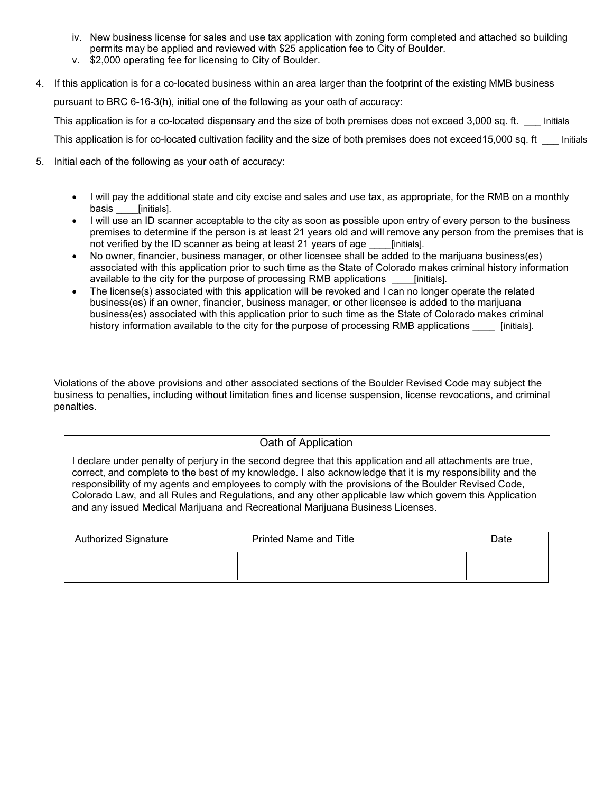- iv. New business license for sales and use tax application with zoning form completed and attached so building permits may be applied and reviewed with \$25 application fee to City of Boulder.
- v. \$2,000 operating fee for licensing to City of Boulder.
- 4. If this application is for a co-located business within an area larger than the footprint of the existing MMB business pursuant to BRC 6-16-3(h), initial one of the following as your oath of accuracy: This application is for a co-located dispensary and the size of both premises does not exceed 3,000 sq. ft. \_\_\_ Initials This application is for co-located cultivation facility and the size of both premises does not exceed15,000 sq. ft \_\_\_ Initials
- 5. Initial each of the following as your oath of accuracy:
	- I will pay the additional state and city excise and sales and use tax, as appropriate, for the RMB on a monthly basis [initials].
	- I will use an ID scanner acceptable to the city as soon as possible upon entry of every person to the business premises to determine if the person is at least 21 years old and will remove any person from the premises that is not verified by the ID scanner as being at least 21 years of age [initials].
	- No owner, financier, business manager, or other licensee shall be added to the marijuana business(es) associated with this application prior to such time as the State of Colorado makes criminal history information available to the city for the purpose of processing RMB applications \_\_\_\_[initials].
	- The license(s) associated with this application will be revoked and I can no longer operate the related business(es) if an owner, financier, business manager, or other licensee is added to the marijuana business(es) associated with this application prior to such time as the State of Colorado makes criminal history information available to the city for the purpose of processing RMB applications \_\_\_\_\_ [initials].

Violations of the above provisions and other associated sections of the Boulder Revised Code may subject the business to penalties, including without limitation fines and license suspension, license revocations, and criminal penalties.

#### Oath of Application

I declare under penalty of perjury in the second degree that this application and all attachments are true, correct, and complete to the best of my knowledge. I also acknowledge that it is my responsibility and the responsibility of my agents and employees to comply with the provisions of the Boulder Revised Code, Colorado Law, and all Rules and Regulations, and any other applicable law which govern this Application and any issued Medical Marijuana and Recreational Marijuana Business Licenses.

| <b>Authorized Signature</b> | <b>Printed Name and Title</b> | Date |
|-----------------------------|-------------------------------|------|
|                             |                               |      |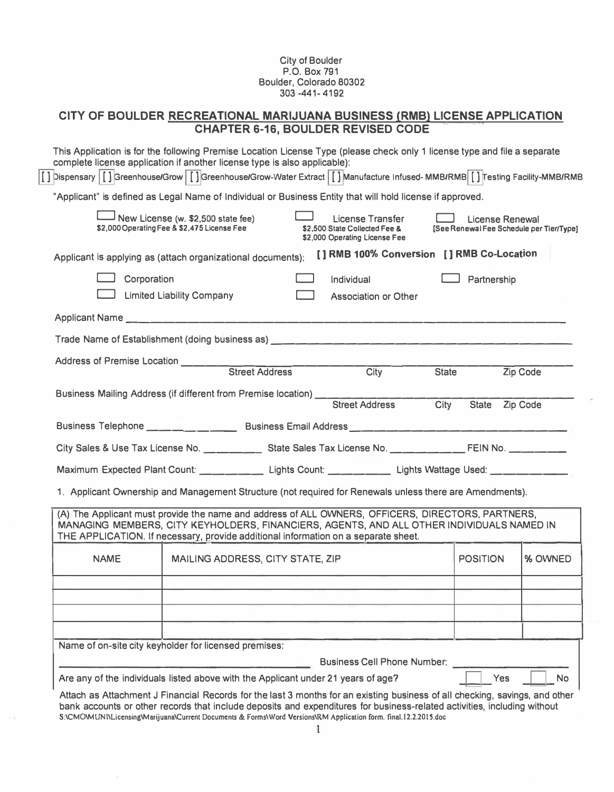#### City of Boulder P.O. Box 791 Boulder, Colorado 80302 303 -441- 4192

## **CHAPTER 6-16, BOULDER REVISED CODE CITY OF BOULDER RECREATIONAL MARIJUANA BUSINESS (RMB) LICENSE APPLICATION**

|             | "Applicant" is defined as Legal Name of Individual or Business Entity that will hold license if approved.                                                                                                                                                                            |                                                                                    |                   |                                                             |          |
|-------------|--------------------------------------------------------------------------------------------------------------------------------------------------------------------------------------------------------------------------------------------------------------------------------------|------------------------------------------------------------------------------------|-------------------|-------------------------------------------------------------|----------|
|             | New License (w. \$2,500 state fee)<br>\$2,000 Operating Fee & \$2,475 License Fee                                                                                                                                                                                                    | License Transfer<br>\$2,500 State Collected Fee &<br>\$2,000 Operating License Fee |                   | License Renewal<br>[See Renewal Fee Schedule per Tier/Type] |          |
|             | Applicant is applying as (attach organizational documents):                                                                                                                                                                                                                          | [] RMB 100% Conversion [] RMB Co-Location                                          |                   |                                                             |          |
| Corporation |                                                                                                                                                                                                                                                                                      | Individual                                                                         |                   | Partnership                                                 |          |
|             | <b>Limited Liability Company</b>                                                                                                                                                                                                                                                     | Association or Other                                                               |                   |                                                             |          |
|             |                                                                                                                                                                                                                                                                                      |                                                                                    |                   |                                                             |          |
|             | Trade Name of Establishment (doing business as) The Communication of the Communication of Establishment (doing                                                                                                                                                                       |                                                                                    |                   |                                                             |          |
|             |                                                                                                                                                                                                                                                                                      |                                                                                    |                   |                                                             |          |
|             |                                                                                                                                                                                                                                                                                      | $\overline{\frac{\text{Citv}}{\text{Citv}}}$                                       | <b>State</b>      |                                                             | Zip Code |
|             | Business Mailing Address (if different from Premise location) ___                                                                                                                                                                                                                    | <b>Street Address</b>                                                              | $\overline{City}$ | State Zip Code                                              |          |
|             |                                                                                                                                                                                                                                                                                      |                                                                                    |                   |                                                             |          |
|             | City Sales & Use Tax License No. _______________ State Sales Tax License No. _____________FEIN No. __________                                                                                                                                                                        |                                                                                    |                   |                                                             |          |
|             | Maximum Expected Plant Count: _______________ Lights Count: _______________ Lights Wattage Used: _____________                                                                                                                                                                       |                                                                                    |                   |                                                             |          |
|             | 1. Applicant Ownership and Management Structure (not required for Renewals unless there are Amendments).                                                                                                                                                                             |                                                                                    |                   |                                                             |          |
|             | (A) The Applicant must provide the name and address of ALL OWNERS, OFFICERS, DIRECTORS, PARTNERS,<br>MANAGING MEMBERS, CITY KEYHOLDERS, FINANCIERS, AGENTS, AND ALL OTHER INDIVIDUALS NAMED IN<br>THE APPLICATION. If necessary, provide additional information on a separate sheet. |                                                                                    |                   |                                                             |          |
| <b>NAME</b> | MAILING ADDRESS, CITY STATE, ZIP                                                                                                                                                                                                                                                     |                                                                                    |                   | <b>POSITION</b>                                             | % OWNED  |
|             |                                                                                                                                                                                                                                                                                      |                                                                                    |                   |                                                             |          |
|             |                                                                                                                                                                                                                                                                                      |                                                                                    |                   |                                                             |          |
|             |                                                                                                                                                                                                                                                                                      |                                                                                    |                   |                                                             |          |
|             | Name of on-site city keyholder for licensed premises:                                                                                                                                                                                                                                |                                                                                    |                   |                                                             |          |
|             |                                                                                                                                                                                                                                                                                      | <b>Business Cell Phone Number:</b>                                                 |                   |                                                             |          |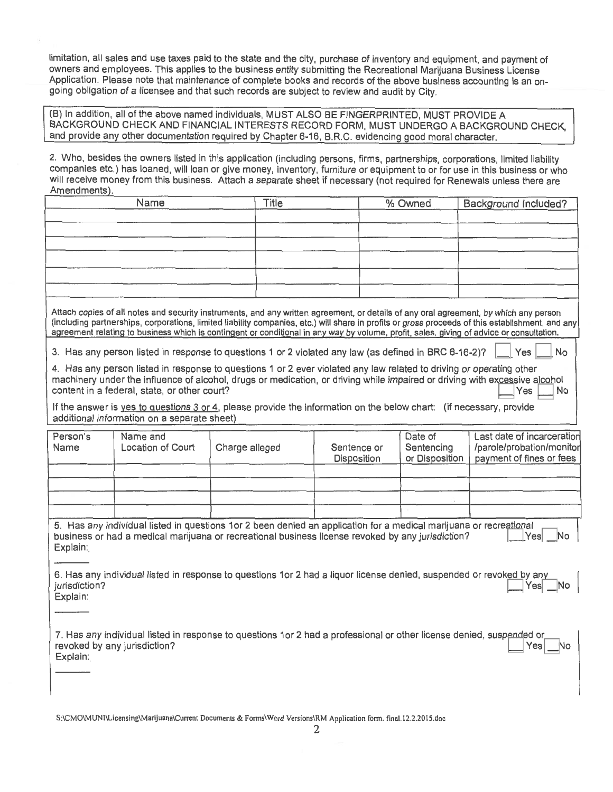limitation, all sales and use taxes paid to the state and the city, purchase of inventory and equipment, and payment of owners and employees. This applies to the business entity submitting the Recreational Marijuana Business License Application. Please note that maintenance of complete books and records of the above business accounting is an ongoing obligation of a licensee and that such records are subject to review and audit by City.

(B) In addition, all of the above named individuals, MUST ALSO BE FINGERPRINTED, MUST PROVIDE A BACKGROUND CHECK AND FINANCIAL INTERESTS RECORD FORM, MUST UNDERGO A BACKGROUND CHECK, and provide any other documentation required by Chapter 6-16, B.R.C. evidencing good moral character.

2. Who, besides the owners listed in this application (including persons, firms, partnerships, corporations, limited liability companies etc.) has loaned, will loan or give money, inventory, furniture or equipment to or for use in this business or who will receive money from this business. Attach a separate sheet if necessary (not required for Renewals unless there are Amendments).

| Name | Title | % Owned | Background Included? |
|------|-------|---------|----------------------|
|      |       |         |                      |
|      |       |         |                      |
|      |       |         |                      |
|      |       |         |                      |
|      |       |         |                      |
|      |       |         |                      |

Attach copies of all notes and security instruments, and any written agreement, or details of any oral agreement, by which any person (including partnerships, corporations, limited liability companies, etc.) will share in profits or gross proceeds of this establishment, and any agreement relating to business which is contingent or conditional in any way by volume, profit, sales, giving of advice or consultation.

Yes

No

3. Has any person listed in response to questions 1 or 2 violated any law (as defined in BRC 6-16-2)?

4. Has any person listed in response to questions 1 or 2 ever violated any law related to driving or operating other machinery under the influence of alcohol, drugs or medication, or driving while impaired or driving with excessive alcohol content in a federal, state, or other court? ∣Yes ∣No

If the answer is yes to questions 3 or 4, please provide the information on the below chart: (if necessary, provide additional information on a separate sheet)

| Person's<br>Name | Name and<br>Location of Court | Charge alleged | Sentence or<br>Disposition | Date of<br>Sentencing<br>or Disposition | Last date of incarceration<br>/parole/probation/monitor<br>payment of fines or fees |
|------------------|-------------------------------|----------------|----------------------------|-----------------------------------------|-------------------------------------------------------------------------------------|
|                  |                               |                |                            |                                         |                                                                                     |
|                  |                               |                |                            |                                         |                                                                                     |
|                  |                               |                |                            |                                         |                                                                                     |
|                  |                               |                |                            |                                         |                                                                                     |

| 5. Has any individual listed in questions 1or 2 been denied an application for a medical marijuana or recreational $\Box$ |        |  |
|---------------------------------------------------------------------------------------------------------------------------|--------|--|
| business or had a medical marijuana or recreational business license revoked by any jurisdiction?                         | Yes No |  |
| Explain:                                                                                                                  |        |  |

6. Has any individual listed in response to questions 1or 2 had a liquor license denied, suspended or revoked by any jurisdiction?  $|Yes|$ Explain:

7. Has any individual listed in response to questions 1or 2 had a professional or other license denied, suspended or revoked by any jurisdiction?  $Yes$ Explain: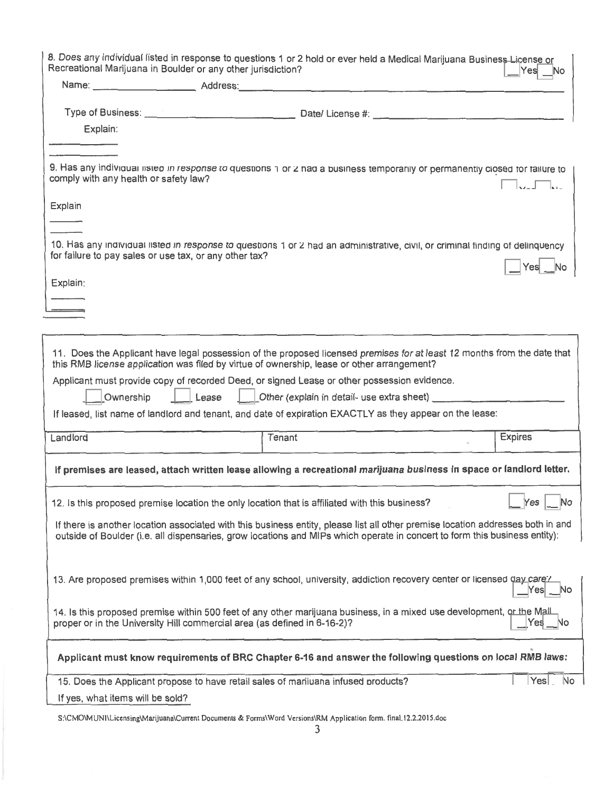| 8. Does any individual listed in response to questions 1 or 2 hold or ever held a Medical Marijuana Busines <del>s Lic</del> ense or<br>Recreational Marijuana in Boulder or any other jurisdiction?<br>Yesl |                                                                                    |                                                                                                                                                                                                                                                               |                              |  |  |
|--------------------------------------------------------------------------------------------------------------------------------------------------------------------------------------------------------------|------------------------------------------------------------------------------------|---------------------------------------------------------------------------------------------------------------------------------------------------------------------------------------------------------------------------------------------------------------|------------------------------|--|--|
|                                                                                                                                                                                                              |                                                                                    |                                                                                                                                                                                                                                                               |                              |  |  |
|                                                                                                                                                                                                              |                                                                                    |                                                                                                                                                                                                                                                               |                              |  |  |
| Explain:                                                                                                                                                                                                     |                                                                                    |                                                                                                                                                                                                                                                               |                              |  |  |
|                                                                                                                                                                                                              |                                                                                    |                                                                                                                                                                                                                                                               |                              |  |  |
| comply with any health or safety law?                                                                                                                                                                        |                                                                                    | 9. Has any individual listed in response to questions 1 or 2 had a business temporarily or permanently closed for failure to                                                                                                                                  | $\Box$ F                     |  |  |
| Explain:                                                                                                                                                                                                     |                                                                                    |                                                                                                                                                                                                                                                               |                              |  |  |
|                                                                                                                                                                                                              |                                                                                    |                                                                                                                                                                                                                                                               |                              |  |  |
| for failure to pay sales or use tax, or any other tax?                                                                                                                                                       |                                                                                    | 10. Has any individual listed in response to questions 1 or 2 had an administrative, civil, or criminal finding of delinquency                                                                                                                                |                              |  |  |
|                                                                                                                                                                                                              |                                                                                    |                                                                                                                                                                                                                                                               | Yes<br>No.                   |  |  |
| Explain:                                                                                                                                                                                                     |                                                                                    |                                                                                                                                                                                                                                                               |                              |  |  |
|                                                                                                                                                                                                              |                                                                                    |                                                                                                                                                                                                                                                               |                              |  |  |
|                                                                                                                                                                                                              |                                                                                    |                                                                                                                                                                                                                                                               |                              |  |  |
|                                                                                                                                                                                                              |                                                                                    | 11. Does the Applicant have legal possession of the proposed licensed premises for at least 12 months from the date that<br>this RMB license application was filed by virtue of ownership, lease or other arrangement?                                        |                              |  |  |
|                                                                                                                                                                                                              |                                                                                    | Applicant must provide copy of recorded Deed, or signed Lease or other possession evidence.                                                                                                                                                                   |                              |  |  |
|                                                                                                                                                                                                              |                                                                                    | Ownership   Lease   Other (explain in detail- use extra sheet) _ _ _ _ _ _ _ _ _ _                                                                                                                                                                            |                              |  |  |
|                                                                                                                                                                                                              |                                                                                    | If leased, list name of landlord and tenant, and date of expiration EXACTLY as they appear on the lease:                                                                                                                                                      |                              |  |  |
| Landlord                                                                                                                                                                                                     | Tenant                                                                             |                                                                                                                                                                                                                                                               | <b>Expires</b>               |  |  |
|                                                                                                                                                                                                              |                                                                                    | If premises are leased, attach written lease allowing a recreational marijuana business in space or landlord letter.                                                                                                                                          |                              |  |  |
|                                                                                                                                                                                                              |                                                                                    | 12. Is this proposed premise location the only location that is affiliated with this business?                                                                                                                                                                | Yes<br>$\Box$ No             |  |  |
|                                                                                                                                                                                                              |                                                                                    | If there is another location associated with this business entity, please list all other premise location addresses both in and<br>outside of Boulder (i.e. all dispensaries, grow locations and MIPs which operate in concert to form this business entity): |                              |  |  |
|                                                                                                                                                                                                              |                                                                                    |                                                                                                                                                                                                                                                               |                              |  |  |
| 13. Are proposed premises within 1,000 feet of any school, university, addiction recovery center or licensed day-care?<br>No                                                                                 |                                                                                    |                                                                                                                                                                                                                                                               |                              |  |  |
|                                                                                                                                                                                                              | proper or in the University Hill commercial area (as defined in 6-16-2)?           | 14. Is this proposed premise within 500 feet of any other marijuana business, in a mixed use development, or the Mall-                                                                                                                                        | No<br>Yesl                   |  |  |
|                                                                                                                                                                                                              |                                                                                    | Applicant must know requirements of BRC Chapter 6-16 and answer the following questions on local RMB laws:                                                                                                                                                    |                              |  |  |
|                                                                                                                                                                                                              | 15. Does the Applicant propose to have retail sales of mariluana infused products? |                                                                                                                                                                                                                                                               | $\left \right.$ Yes $\left $ |  |  |
| If yes, what items will be sold?                                                                                                                                                                             |                                                                                    |                                                                                                                                                                                                                                                               |                              |  |  |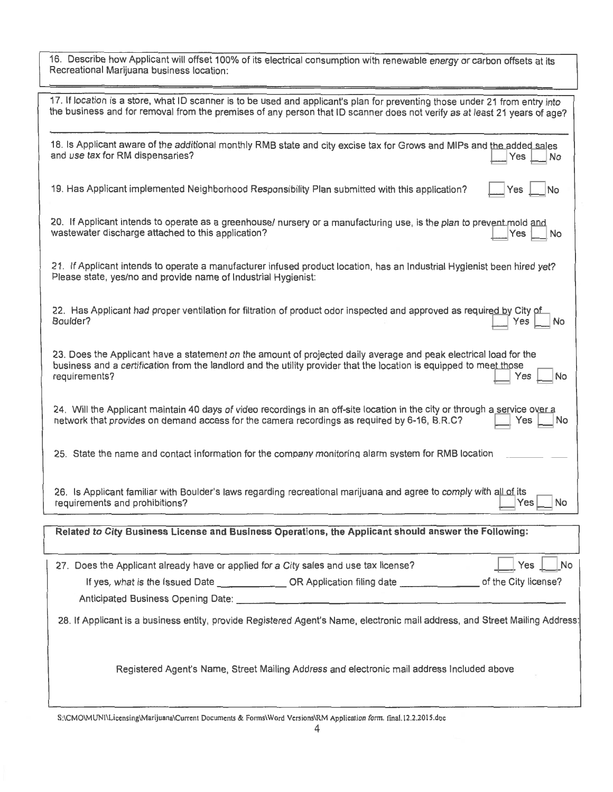16. Describe how Applicant will offset 100% of its electrical consumption with renewable energy or carbon offsets at its Recreational Marijuana business location:

| 17. If location is a store, what ID scanner is to be used and applicant's plan for preventing those under 21 from entry into<br>the business and for removal from the premises of any person that ID scanner does not verify as at least 21 years of age?              |
|------------------------------------------------------------------------------------------------------------------------------------------------------------------------------------------------------------------------------------------------------------------------|
| 18. Is Applicant aware of the additional monthly RMB state and city excise tax for Grows and MIPs and the added sales<br>and use tax for RM dispensaries?<br>Yes<br>No                                                                                                 |
| 19. Has Applicant implemented Neighborhood Responsibility Plan submitted with this application?<br>Yes<br>No                                                                                                                                                           |
| 20. If Applicant intends to operate as a greenhouse/ nursery or a manufacturing use, is the plan to prevent-mold and<br>wastewater discharge attached to this application?<br>Yes<br>No                                                                                |
| 21. If Applicant intends to operate a manufacturer infused product location, has an Industrial Hvgienist been hired vet?<br>Please state, yes/no and provide name of Industrial Hygienist:                                                                             |
| 22. Has Applicant had proper ventilation for filtration of product odor inspected and approved as required by City of<br>Boulder?<br>No<br>Yes                                                                                                                         |
| 23. Does the Applicant have a statement on the amount of projected daily average and peak electrical load for the<br>business and a certification from the landlord and the utility provider that the location is equipped to meet those<br>requirements?<br>Yes<br>No |
| 24. Will the Applicant maintain 40 days of video recordings in an off-site location in the city or through a service over a<br>network that provides on demand access for the camera recordings as required by 6-16, B.R.C?<br>Yes<br>No                               |
| 25. State the name and contact information for the company monitoring alarm system for RMB location                                                                                                                                                                    |
| 26. Is Applicant familiar with Boulder's laws regarding recreational marijuana and agree to comply with all-of-its<br>requirements and prohibitions?<br>No<br>Yes                                                                                                      |
|                                                                                                                                                                                                                                                                        |
| Related to City Business License and Business Operations, the Applicant should answer the Following:                                                                                                                                                                   |
| 27. Does the Applicant already have or applied for a City sales and use tax license?<br>Yes<br>No                                                                                                                                                                      |
| If yes, what is the Issued Date ______________________OR Application filing date ___________________ of the City license?                                                                                                                                              |
|                                                                                                                                                                                                                                                                        |
| 28. If Applicant is a business entity, provide Registered Agent's Name, electronic mail address, and Street Mailing Address                                                                                                                                            |
| Registered Agent's Name, Street Mailing Address and electronic mail address Included above                                                                                                                                                                             |
|                                                                                                                                                                                                                                                                        |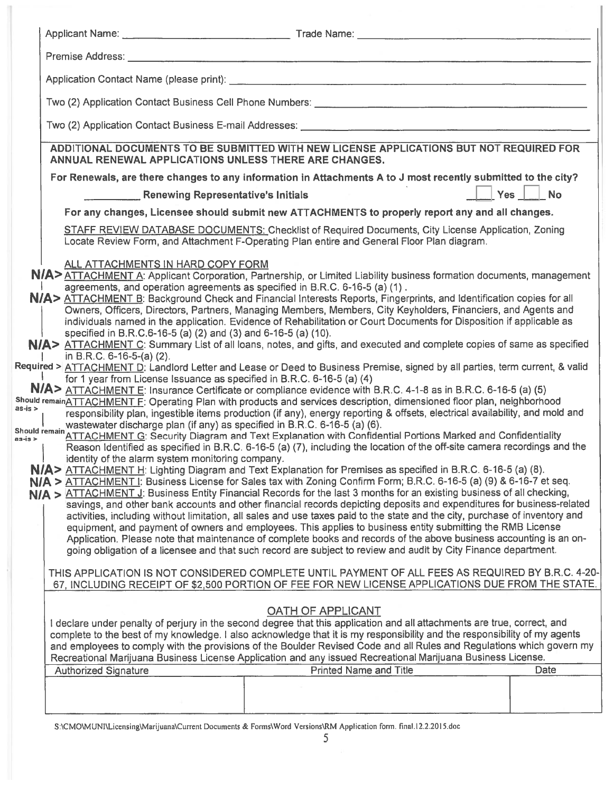|                                                                                                                                                                                                                                                                                                                                                                                                                                                                                                                                                                                                                                                                                                                                             |                                                        | ADDITIONAL DOCUMENTS TO BE SUBMITTED WITH NEW LICENSE APPLICATIONS BUT NOT REQUIRED FOR                                                                                                                                                                                                                                                                                                                                                                                                                                                                                                                                                                                                                                                                                                                                                                                                                                                                                                                                                                                                                                                                                                                                                                                                                                                                                                                                                                                                                                                                                                                                                                                                                                                                                                                                                                                                                                                                                                                                                                                                                                                                       |                         |
|---------------------------------------------------------------------------------------------------------------------------------------------------------------------------------------------------------------------------------------------------------------------------------------------------------------------------------------------------------------------------------------------------------------------------------------------------------------------------------------------------------------------------------------------------------------------------------------------------------------------------------------------------------------------------------------------------------------------------------------------|--------------------------------------------------------|---------------------------------------------------------------------------------------------------------------------------------------------------------------------------------------------------------------------------------------------------------------------------------------------------------------------------------------------------------------------------------------------------------------------------------------------------------------------------------------------------------------------------------------------------------------------------------------------------------------------------------------------------------------------------------------------------------------------------------------------------------------------------------------------------------------------------------------------------------------------------------------------------------------------------------------------------------------------------------------------------------------------------------------------------------------------------------------------------------------------------------------------------------------------------------------------------------------------------------------------------------------------------------------------------------------------------------------------------------------------------------------------------------------------------------------------------------------------------------------------------------------------------------------------------------------------------------------------------------------------------------------------------------------------------------------------------------------------------------------------------------------------------------------------------------------------------------------------------------------------------------------------------------------------------------------------------------------------------------------------------------------------------------------------------------------------------------------------------------------------------------------------------------------|-------------------------|
|                                                                                                                                                                                                                                                                                                                                                                                                                                                                                                                                                                                                                                                                                                                                             | ANNUAL RENEWAL APPLICATIONS UNLESS THERE ARE CHANGES.  |                                                                                                                                                                                                                                                                                                                                                                                                                                                                                                                                                                                                                                                                                                                                                                                                                                                                                                                                                                                                                                                                                                                                                                                                                                                                                                                                                                                                                                                                                                                                                                                                                                                                                                                                                                                                                                                                                                                                                                                                                                                                                                                                                               |                         |
|                                                                                                                                                                                                                                                                                                                                                                                                                                                                                                                                                                                                                                                                                                                                             |                                                        | For Renewals, are there changes to any information in Attachments A to J most recently submitted to the city?                                                                                                                                                                                                                                                                                                                                                                                                                                                                                                                                                                                                                                                                                                                                                                                                                                                                                                                                                                                                                                                                                                                                                                                                                                                                                                                                                                                                                                                                                                                                                                                                                                                                                                                                                                                                                                                                                                                                                                                                                                                 |                         |
|                                                                                                                                                                                                                                                                                                                                                                                                                                                                                                                                                                                                                                                                                                                                             | <b>EXAMPLE 2014</b> Renewing Representative's Initials |                                                                                                                                                                                                                                                                                                                                                                                                                                                                                                                                                                                                                                                                                                                                                                                                                                                                                                                                                                                                                                                                                                                                                                                                                                                                                                                                                                                                                                                                                                                                                                                                                                                                                                                                                                                                                                                                                                                                                                                                                                                                                                                                                               | <b>Example 1</b> Yes No |
|                                                                                                                                                                                                                                                                                                                                                                                                                                                                                                                                                                                                                                                                                                                                             |                                                        | For any changes, Licensee should submit new ATTACHMENTS to properly report any and all changes.                                                                                                                                                                                                                                                                                                                                                                                                                                                                                                                                                                                                                                                                                                                                                                                                                                                                                                                                                                                                                                                                                                                                                                                                                                                                                                                                                                                                                                                                                                                                                                                                                                                                                                                                                                                                                                                                                                                                                                                                                                                               |                         |
|                                                                                                                                                                                                                                                                                                                                                                                                                                                                                                                                                                                                                                                                                                                                             |                                                        | <b>STAFF REVIEW DATABASE DOCUMENTS: Checklist of Required Documents, City License Application, Zoning</b><br>Locate Review Form, and Attachment F-Operating Plan entire and General Floor Plan diagram.                                                                                                                                                                                                                                                                                                                                                                                                                                                                                                                                                                                                                                                                                                                                                                                                                                                                                                                                                                                                                                                                                                                                                                                                                                                                                                                                                                                                                                                                                                                                                                                                                                                                                                                                                                                                                                                                                                                                                       |                         |
| ALL ATTACHMENTS IN HARD COPY FORM<br>specified in B.R.C.6-16-5 (a) (2) and (3) and 6-16-5 (a) (10).<br>in B.R.C. 6-16-5-(a) (2).<br>Required > ATTACHMENT D: Landlord Letter and Lease or Deed to Business Premise, signed by all parties, term current, & valid<br>for 1 year from License Issuance as specified in B.R.C. 6-16-5 (a) (4)<br>Should remainATTACHMENT F: Operating Plan with products and services description, dimensioned floor plan, neighborhood<br>$as-is$<br>wastewater discharge plan (if any) as specified in B.R.C. 6-16-5 (a) (6).<br>Should remain ATTACHMENT G: Security Diagram and Text Explanation with Confidential Portions Marked and Confidentiality<br>identity of the alarm system monitoring company. |                                                        | N/A>ATTACHMENT A: Applicant Corporation, Partnership, or Limited Liability business formation documents, management<br>agreements, and operation agreements as specified in B.R.C. 6-16-5 (a) (1).<br>N/A> ATTACHMENT B: Background Check and Financial Interests Reports, Fingerprints, and Identification copies for all<br>Owners, Officers, Directors, Partners, Managing Members, Members, City Keyholders, Financiers, and Agents and<br>individuals named in the application. Evidence of Rehabilitation or Court Documents for Disposition if applicable as<br>N/A> ATTACHMENT C: Summary List of all loans, notes, and gifts, and executed and complete copies of same as specified<br>N/A> ATTACHMENT E: Insurance Certificate or compliance evidence with B.R.C. 4-1-8 as in B.R.C. 6-16-5 (a) (5)<br>responsibility plan, ingestible items production (if any), energy reporting & offsets, electrical availability, and mold and<br>Reason Identified as specified in B.R.C. 6-16-5 (a) (7), including the location of the off-site camera recordings and the<br>N/A> ATTACHMENT H: Lighting Diagram and Text Explanation for Premises as specified in B.R.C. 6-16-5 (a) (8).<br>N/A > ATTACHMENT I: Business License for Sales tax with Zoning Confirm Form; B.R.C. 6-16-5 (a) (9) & 6-16-7 et seq.<br>N/A > ATTACHMENT J: Business Entity Financial Records for the last 3 months for an existing business of all checking,<br>savings, and other bank accounts and other financial records depicting deposits and expenditures for business-related<br>activities, including without limitation, all sales and use taxes paid to the state and the city, purchase of inventory and<br>equipment, and payment of owners and employees. This applies to business entity submitting the RMB License<br>Application. Please note that maintenance of complete books and records of the above business accounting is an on-<br>going obligation of a licensee and that such record are subject to review and audit by City Finance department.<br>THIS APPLICATION IS NOT CONSIDERED COMPLETE UNTIL PAYMENT OF ALL FEES AS REQUIRED BY B.R.C. 4-20 |                         |
|                                                                                                                                                                                                                                                                                                                                                                                                                                                                                                                                                                                                                                                                                                                                             |                                                        | 67, INCLUDING RECEIPT OF \$2,500 PORTION OF FEE FOR NEW LICENSE APPLICATIONS DUE FROM THE STATE.<br>OATH OF APPLICANT                                                                                                                                                                                                                                                                                                                                                                                                                                                                                                                                                                                                                                                                                                                                                                                                                                                                                                                                                                                                                                                                                                                                                                                                                                                                                                                                                                                                                                                                                                                                                                                                                                                                                                                                                                                                                                                                                                                                                                                                                                         |                         |
|                                                                                                                                                                                                                                                                                                                                                                                                                                                                                                                                                                                                                                                                                                                                             |                                                        | I declare under penalty of perjury in the second degree that this application and all attachments are true, correct, and<br>complete to the best of my knowledge. I also acknowledge that it is my responsibility and the responsibility of my agents<br>and employees to comply with the provisions of the Boulder Revised Code and all Rules and Regulations which govern my<br>Recreational Marijuana Business License Application and any issued Recreational Marijuana Business License.                                                                                                                                                                                                                                                                                                                                                                                                                                                                                                                                                                                                                                                                                                                                                                                                                                                                                                                                                                                                                                                                                                                                                                                                                                                                                                                                                                                                                                                                                                                                                                                                                                                                 |                         |
|                                                                                                                                                                                                                                                                                                                                                                                                                                                                                                                                                                                                                                                                                                                                             | <b>Authorized Signature</b>                            | <b>Printed Name and Title</b>                                                                                                                                                                                                                                                                                                                                                                                                                                                                                                                                                                                                                                                                                                                                                                                                                                                                                                                                                                                                                                                                                                                                                                                                                                                                                                                                                                                                                                                                                                                                                                                                                                                                                                                                                                                                                                                                                                                                                                                                                                                                                                                                 | Date                    |
|                                                                                                                                                                                                                                                                                                                                                                                                                                                                                                                                                                                                                                                                                                                                             |                                                        |                                                                                                                                                                                                                                                                                                                                                                                                                                                                                                                                                                                                                                                                                                                                                                                                                                                                                                                                                                                                                                                                                                                                                                                                                                                                                                                                                                                                                                                                                                                                                                                                                                                                                                                                                                                                                                                                                                                                                                                                                                                                                                                                                               |                         |
|                                                                                                                                                                                                                                                                                                                                                                                                                                                                                                                                                                                                                                                                                                                                             |                                                        |                                                                                                                                                                                                                                                                                                                                                                                                                                                                                                                                                                                                                                                                                                                                                                                                                                                                                                                                                                                                                                                                                                                                                                                                                                                                                                                                                                                                                                                                                                                                                                                                                                                                                                                                                                                                                                                                                                                                                                                                                                                                                                                                                               |                         |